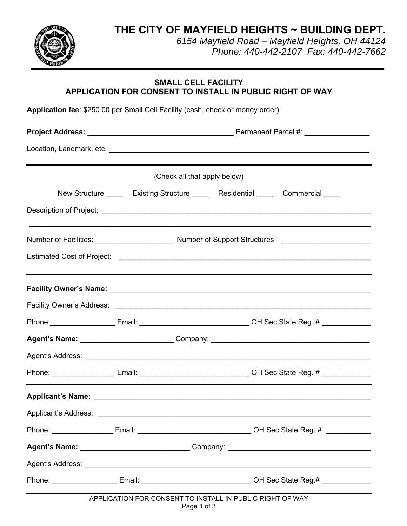**THE CITY OF MAYFIELD HEIGHTS ~ BUILDING DEPT.**



*6154 Mayfield Road – Mayfield Heights, OH 44124 Phone: 440-442-2107 Fax: 440-442-7662*

## **SMALL CELL FACILITY APPLICATION FOR CONSENT TO INSTALL IN PUBLIC RIGHT OF WAY**

**Application fee**: \$250.00 per Small Cell Facility (cash, check or money order)

| (Check all that apply below) |  |                                                           |                                                                                                           |  |  |
|------------------------------|--|-----------------------------------------------------------|-----------------------------------------------------------------------------------------------------------|--|--|
|                              |  |                                                           |                                                                                                           |  |  |
|                              |  |                                                           |                                                                                                           |  |  |
|                              |  |                                                           |                                                                                                           |  |  |
|                              |  |                                                           |                                                                                                           |  |  |
|                              |  |                                                           |                                                                                                           |  |  |
|                              |  |                                                           |                                                                                                           |  |  |
|                              |  |                                                           | Phone:______________________Email: __________________________________OH Sec State Reg. # _______________  |  |  |
|                              |  |                                                           |                                                                                                           |  |  |
|                              |  |                                                           |                                                                                                           |  |  |
|                              |  |                                                           |                                                                                                           |  |  |
|                              |  |                                                           |                                                                                                           |  |  |
|                              |  |                                                           |                                                                                                           |  |  |
|                              |  |                                                           | Phone: _____________________Email: ___________________________________OH Sec State Reg. # _______________ |  |  |
|                              |  |                                                           |                                                                                                           |  |  |
|                              |  |                                                           |                                                                                                           |  |  |
|                              |  |                                                           | Phone: ________________________Email: __________________________________OH Sec State Reg.# ______________ |  |  |
|                              |  | APPLICATION FOR CONSENT TO INSTALL IN PUBLIC RIGHT OF WAY |                                                                                                           |  |  |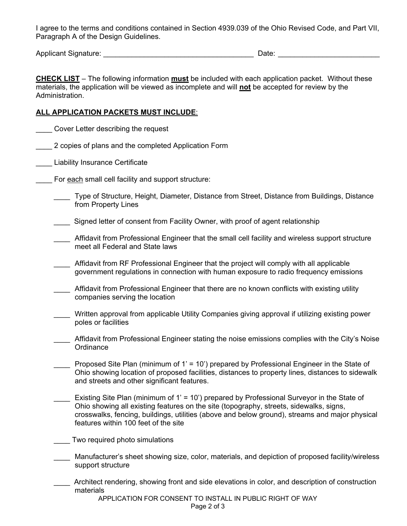I agree to the terms and conditions contained in Section 4939.039 of the Ohio Revised Code, and Part VII, Paragraph A of the Design Guidelines.

Applicant Signature: etc. And the state of the state of the Date: etc. And the state of the state of the state of the state of the state of the state of the state of the state of the state of the state of the state of the

**CHECK LIST** – The following information **must** be included with each application packet. Without these materials, the application will be viewed as incomplete and will **not** be accepted for review by the Administration.

## **ALL APPLICATION PACKETS MUST INCLUDE**:

\_\_\_\_ Cover Letter describing the request

- \_\_\_\_ 2 copies of plans and the completed Application Form
- \_\_\_\_ Liability Insurance Certificate
- For each small cell facility and support structure:
	- \_\_\_\_ Type of Structure, Height, Diameter, Distance from Street, Distance from Buildings, Distance from Property Lines
	- \_\_\_\_ Signed letter of consent from Facility Owner, with proof of agent relationship
	- Affidavit from Professional Engineer that the small cell facility and wireless support structure meet all Federal and State laws
	- Affidavit from RF Professional Engineer that the project will comply with all applicable government regulations in connection with human exposure to radio frequency emissions
	- Affidavit from Professional Engineer that there are no known conflicts with existing utility companies serving the location
	- \_\_\_\_ Written approval from applicable Utility Companies giving approval if utilizing existing power poles or facilities
	- Affidavit from Professional Engineer stating the noise emissions complies with the City's Noise **Ordinance**
	- \_\_\_\_ Proposed Site Plan (minimum of 1' = 10') prepared by Professional Engineer in the State of Ohio showing location of proposed facilities, distances to property lines, distances to sidewalk and streets and other significant features.
	- Existing Site Plan (minimum of 1' = 10') prepared by Professional Surveyor in the State of Ohio showing all existing features on the site (topography, streets, sidewalks, signs, crosswalks, fencing, buildings, utilities (above and below ground), streams and major physical features within 100 feet of the site
	- \_\_\_\_ Two required photo simulations
	- Manufacturer's sheet showing size, color, materials, and depiction of proposed facility/wireless support structure
	- \_\_\_\_ Architect rendering, showing front and side elevations in color, and description of construction materials